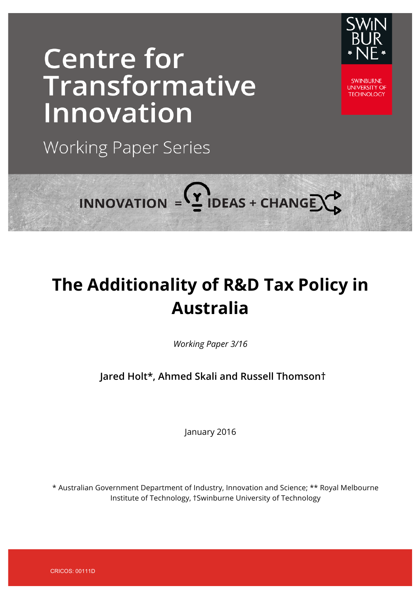# **Centre for** Transformative Innovation

**Working Paper Series** 



**UNIVERSITY OF TECHNOLOGY** 

INNOVATION =  $($ <sup>2</sup> IDEAS + CHANGE $\bigcirc$ 

# **The Additionality of R&D Tax Policy in Australia**

*Working Paper 3/16*

**Jared Holt\*, Ahmed Skali and Russell Thomson†**

January 2016

\* Australian Government Department of Industry, Innovation and Science; \*\* Royal Melbourne Institute of Technology, †Swinburne University of Technology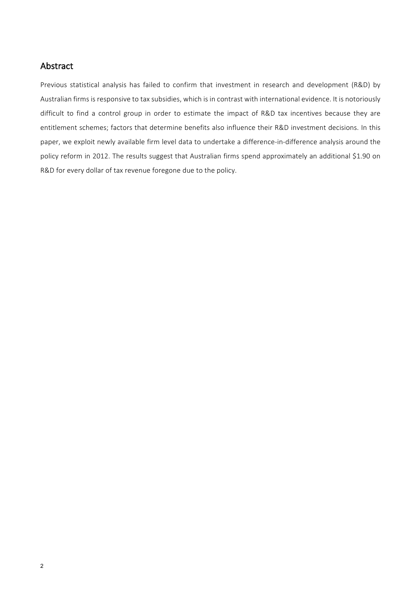### Abstract

Previous statistical analysis has failed to confirm that investment in research and development (R&D) by Australian firms is responsive to tax subsidies, which is in contrast with international evidence. It is notoriously difficult to find a control group in order to estimate the impact of R&D tax incentives because they are entitlement schemes; factors that determine benefits also influence their R&D investment decisions. In this paper, we exploit newly available firm level data to undertake a difference-in-difference analysis around the policy reform in 2012. The results suggest that Australian firms spend approximately an additional \$1.90 on R&D for every dollar of tax revenue foregone due to the policy.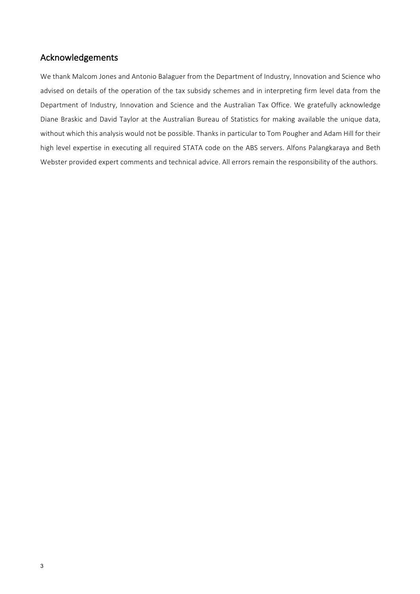# Acknowledgements

We thank Malcom Jones and Antonio Balaguer from the Department of Industry, Innovation and Science who advised on details of the operation of the tax subsidy schemes and in interpreting firm level data from the Department of Industry, Innovation and Science and the Australian Tax Office. We gratefully acknowledge Diane Braskic and David Taylor at the Australian Bureau of Statistics for making available the unique data, without which this analysis would not be possible. Thanks in particular to Tom Pougher and Adam Hill for their high level expertise in executing all required STATA code on the ABS servers. Alfons Palangkaraya and Beth Webster provided expert comments and technical advice. All errors remain the responsibility of the authors.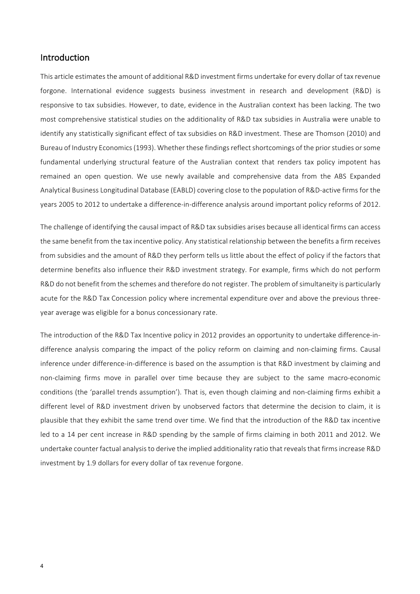#### Introduction

This article estimates the amount of additional R&D investment firms undertake for every dollar of tax revenue forgone. International evidence suggests business investment in research and development (R&D) is responsive to tax subsidies. However, to date, evidence in the Australian context has been lacking. The two most comprehensive statistical studies on the additionality of R&D tax subsidies in Australia were unable to identify any statistically significant effect of tax subsidies on R&D investment. These are Thomson (2010) and Bureau of Industry Economics (1993). Whether these findings reflect shortcomings of the prior studies or some fundamental underlying structural feature of the Australian context that renders tax policy impotent has remained an open question. We use newly available and comprehensive data from the ABS Expanded Analytical Business Longitudinal Database (EABLD) covering close to the population of R&D-active firms for the years 2005 to 2012 to undertake a difference-in-difference analysis around important policy reforms of 2012.

The challenge of identifying the causal impact of R&D tax subsidies arises because all identical firms can access the same benefit from the tax incentive policy. Any statistical relationship between the benefits a firm receives from subsidies and the amount of R&D they perform tells us little about the effect of policy if the factors that determine benefits also influence their R&D investment strategy. For example, firms which do not perform R&D do not benefit from the schemes and therefore do not register. The problem of simultaneity is particularly acute for the R&D Tax Concession policy where incremental expenditure over and above the previous threeyear average was eligible for a bonus concessionary rate.

The introduction of the R&D Tax Incentive policy in 2012 provides an opportunity to undertake difference-indifference analysis comparing the impact of the policy reform on claiming and non-claiming firms. Causal inference under difference-in-difference is based on the assumption is that R&D investment by claiming and non-claiming firms move in parallel over time because they are subject to the same macro-economic conditions (the 'parallel trends assumption'). That is, even though claiming and non-claiming firms exhibit a different level of R&D investment driven by unobserved factors that determine the decision to claim, it is plausible that they exhibit the same trend over time. We find that the introduction of the R&D tax incentive led to a 14 per cent increase in R&D spending by the sample of firms claiming in both 2011 and 2012. We undertake counter factual analysis to derive the implied additionality ratio that reveals that firms increase R&D investment by 1.9 dollars for every dollar of tax revenue forgone.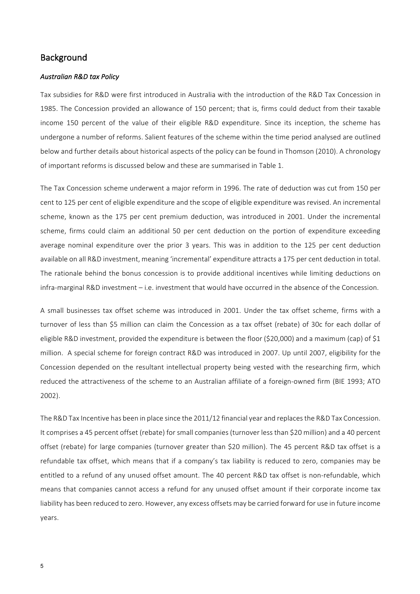#### **Background**

#### *Australian R&D tax Policy*

Tax subsidies for R&D were first introduced in Australia with the introduction of the R&D Tax Concession in 1985. The Concession provided an allowance of 150 percent; that is, firms could deduct from their taxable income 150 percent of the value of their eligible R&D expenditure. Since its inception, the scheme has undergone a number of reforms. Salient features of the scheme within the time period analysed are outlined below and further details about historical aspects of the policy can be found in Thomson (2010). A chronology of important reforms is discussed below and these are summarised in Table 1.

The Tax Concession scheme underwent a major reform in 1996. The rate of deduction was cut from 150 per cent to 125 per cent of eligible expenditure and the scope of eligible expenditure was revised. An incremental scheme, known as the 175 per cent premium deduction, was introduced in 2001. Under the incremental scheme, firms could claim an additional 50 per cent deduction on the portion of expenditure exceeding average nominal expenditure over the prior 3 years. This was in addition to the 125 per cent deduction available on all R&D investment, meaning 'incremental' expenditure attracts a 175 per cent deduction in total. The rationale behind the bonus concession is to provide additional incentives while limiting deductions on infra-marginal R&D investment - i.e. investment that would have occurred in the absence of the Concession.

A small businesses tax offset scheme was introduced in 2001. Under the tax offset scheme, firms with a turnover of less than \$5 million can claim the Concession as a tax offset (rebate) of 30c for each dollar of eligible R&D investment, provided the expenditure is between the floor (\$20,000) and a maximum (cap) of \$1 million. A special scheme for foreign contract R&D was introduced in 2007. Up until 2007, eligibility for the Concession depended on the resultant intellectual property being vested with the researching firm, which reduced the attractiveness of the scheme to an Australian affiliate of a foreign-owned firm (BIE 1993; ATO 2002).

The R&D Tax Incentive has been in place since the 2011/12 financial year and replaces the R&D Tax Concession. It comprises a 45 percent offset (rebate) for small companies (turnover less than \$20 million) and a 40 percent offset (rebate) for large companies (turnover greater than \$20 million). The 45 percent R&D tax offset is a refundable tax offset, which means that if a company's tax liability is reduced to zero, companies may be entitled to a refund of any unused offset amount. The 40 percent R&D tax offset is non-refundable, which means that companies cannot access a refund for any unused offset amount if their corporate income tax liability has been reduced to zero. However, any excess offsets may be carried forward for use in future income years.

5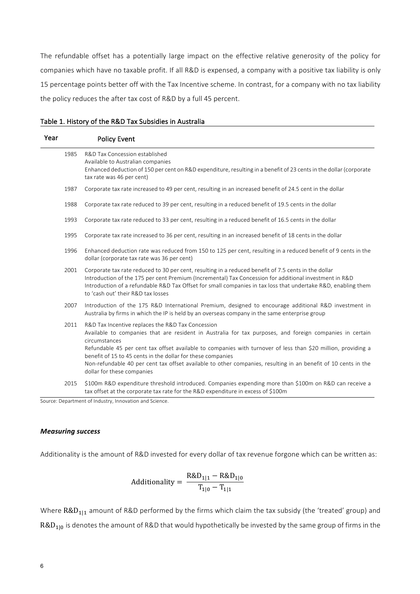The refundable offset has a potentially large impact on the effective relative generosity of the policy for companies which have no taxable profit. If all R&D is expensed, a company with a positive tax liability is only 15 percentage points better off with the Tax Incentive scheme. In contrast, for a company with no tax liability the policy reduces the after tax cost of R&D by a full 45 percent.

| Table 1. History of the R&D Tax Subsidies in Australia |
|--------------------------------------------------------|
|--------------------------------------------------------|

| Year | <b>Policy Event</b>                                                                                                                                                                                                                                                                                                                                                                                                                                                                                            |
|------|----------------------------------------------------------------------------------------------------------------------------------------------------------------------------------------------------------------------------------------------------------------------------------------------------------------------------------------------------------------------------------------------------------------------------------------------------------------------------------------------------------------|
| 1985 | R&D Tax Concession established<br>Available to Australian companies<br>Enhanced deduction of 150 per cent on R&D expenditure, resulting in a benefit of 23 cents in the dollar (corporate<br>tax rate was 46 per cent)                                                                                                                                                                                                                                                                                         |
| 1987 | Corporate tax rate increased to 49 per cent, resulting in an increased benefit of 24.5 cent in the dollar                                                                                                                                                                                                                                                                                                                                                                                                      |
| 1988 | Corporate tax rate reduced to 39 per cent, resulting in a reduced benefit of 19.5 cents in the dollar                                                                                                                                                                                                                                                                                                                                                                                                          |
| 1993 | Corporate tax rate reduced to 33 per cent, resulting in a reduced benefit of 16.5 cents in the dollar                                                                                                                                                                                                                                                                                                                                                                                                          |
| 1995 | Corporate tax rate increased to 36 per cent, resulting in an increased benefit of 18 cents in the dollar                                                                                                                                                                                                                                                                                                                                                                                                       |
| 1996 | Enhanced deduction rate was reduced from 150 to 125 per cent, resulting in a reduced benefit of 9 cents in the<br>dollar (corporate tax rate was 36 per cent)                                                                                                                                                                                                                                                                                                                                                  |
| 2001 | Corporate tax rate reduced to 30 per cent, resulting in a reduced benefit of 7.5 cents in the dollar<br>Introduction of the 175 per cent Premium (Incremental) Tax Concession for additional investment in R&D<br>Introduction of a refundable R&D Tax Offset for small companies in tax loss that undertake R&D, enabling them<br>to 'cash out' their R&D tax losses                                                                                                                                          |
| 2007 | Introduction of the 175 R&D International Premium, designed to encourage additional R&D investment in<br>Australia by firms in which the IP is held by an overseas company in the same enterprise group                                                                                                                                                                                                                                                                                                        |
| 2011 | R&D Tax Incentive replaces the R&D Tax Concession<br>Available to companies that are resident in Australia for tax purposes, and foreign companies in certain<br>circumstances<br>Refundable 45 per cent tax offset available to companies with turnover of less than \$20 million, providing a<br>benefit of 15 to 45 cents in the dollar for these companies<br>Non-refundable 40 per cent tax offset available to other companies, resulting in an benefit of 10 cents in the<br>dollar for these companies |
| 2015 | \$100m R&D expenditure threshold introduced. Companies expending more than \$100m on R&D can receive a<br>tax offset at the corporate tax rate for the R&D expenditure in excess of \$100m                                                                                                                                                                                                                                                                                                                     |

Source: Department of Industry, Innovation and Science.

#### *Measuring success*

Additionality is the amount of R&D invested for every dollar of tax revenue forgone which can be written as:

Additionally = 
$$
\frac{R&D_{1|1} - R&D_{1|0}}{T_{1|0} - T_{1|1}}
$$

Where  $R&D_{1|1}$  amount of R&D performed by the firms which claim the tax subsidy (the 'treated' group) and  $R&D_{1|0}$  is denotes the amount of R&D that would hypothetically be invested by the same group of firms in the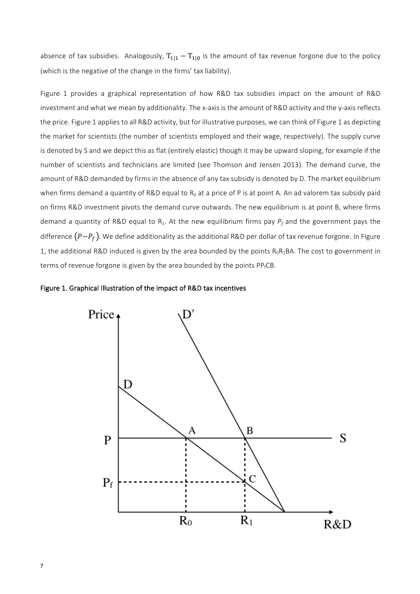absence of tax subsidies. Analogously,  $T_{1|1} - T_{1|0}$  is the amount of tax revenue forgone due to the policy (which is the negative of the change in the firms' tax liability).

Figure 1 provides a graphical representation of how R&D tax subsidies impact on the amount of R&D investment and what we mean by additionality. The x-axis is the amount of R&D activity and the y-axis reflects the price. Figure 1 applies to all R&D activity, but for illustrative purposes, we can think of Figure 1 as depicting the market for scientists (the number of scientists employed and their wage, respectively). The supply curve is denoted by S and we depict this as flat (entirely elastic) though it may be upward sloping, for example if the number of scientists and technicians are limited (see Thomson and Jensen 2013). The demand curve, the amount of R&D demanded by firms in the absence of any tax subsidy is denoted by D. The market equilibrium when firms demand a quantity of R&D equal to  $R_0$  at a price of P is at point A. An ad valorem tax subsidy paid on firms R&D investment pivots the demand curve outwards. The new equilibrium is at point B, where firms demand a quantity of R&D equal to  $R_1$ . At the new equilibrium firms pay  $P_f$  and the government pays the difference  $(P-P_f)$ . We define additionality as the additional R&D per dollar of tax revenue forgone. In Figure 1, the additional R&D induced is given by the area bounded by the points  $R_0R_1BA$ . The cost to government in terms of revenue forgone is given by the area bounded by the points  $PP_fCB$ .



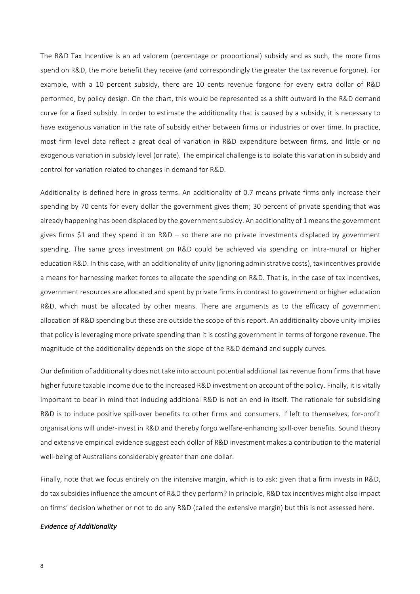The R&D Tax Incentive is an ad valorem (percentage or proportional) subsidy and as such, the more firms spend on R&D, the more benefit they receive (and correspondingly the greater the tax revenue forgone). For example, with a 10 percent subsidy, there are 10 cents revenue forgone for every extra dollar of R&D performed, by policy design. On the chart, this would be represented as a shift outward in the R&D demand curve for a fixed subsidy. In order to estimate the additionality that is caused by a subsidy, it is necessary to have exogenous variation in the rate of subsidy either between firms or industries or over time. In practice, most firm level data reflect a great deal of variation in R&D expenditure between firms, and little or no exogenous variation in subsidy level (or rate). The empirical challenge is to isolate this variation in subsidy and control for variation related to changes in demand for R&D.

Additionality is defined here in gross terms. An additionality of 0.7 means private firms only increase their spending by 70 cents for every dollar the government gives them; 30 percent of private spending that was already happening has been displaced by the government subsidy. An additionality of 1 means the government gives firms \$1 and they spend it on  $R&D - so$  there are no private investments displaced by government spending. The same gross investment on R&D could be achieved via spending on intra-mural or higher education R&D. In this case, with an additionality of unity (ignoring administrative costs), tax incentives provide a means for harnessing market forces to allocate the spending on R&D. That is, in the case of tax incentives, government resources are allocated and spent by private firms in contrast to government or higher education R&D, which must be allocated by other means. There are arguments as to the efficacy of government allocation of R&D spending but these are outside the scope of this report. An additionality above unity implies that policy is leveraging more private spending than it is costing government in terms of forgone revenue. The magnitude of the additionality depends on the slope of the R&D demand and supply curves.

Our definition of additionality does not take into account potential additional tax revenue from firms that have higher future taxable income due to the increased R&D investment on account of the policy. Finally, it is vitally important to bear in mind that inducing additional R&D is not an end in itself. The rationale for subsidising R&D is to induce positive spill-over benefits to other firms and consumers. If left to themselves, for-profit organisations will under-invest in R&D and thereby forgo welfare-enhancing spill-over benefits. Sound theory and extensive empirical evidence suggest each dollar of R&D investment makes a contribution to the material well-being of Australians considerably greater than one dollar.

Finally, note that we focus entirely on the intensive margin, which is to ask: given that a firm invests in R&D, do tax subsidies influence the amount of R&D they perform? In principle, R&D tax incentives might also impact on firms' decision whether or not to do any R&D (called the extensive margin) but this is not assessed here.

#### *Evidence of Additionality*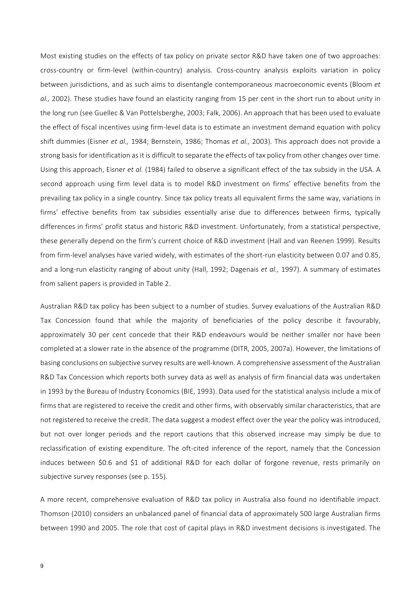Most existing studies on the effects of tax policy on private sector R&D have taken one of two approaches: cross-country or firm-level (within-country) analysis. Cross-country analysis exploits variation in policy between jurisdictions, and as such aims to disentangle contemporaneous macroeconomic events (Bloom et al., 2002). These studies have found an elasticity ranging from 15 per cent in the short run to about unity in the long run (see Guellec & Van Pottelsberghe, 2003; Falk, 2006). An approach that has been used to evaluate the effect of fiscal incentives using firm-level data is to estimate an investment demand equation with policy shift dummies (Eisner et al., 1984; Bernstein, 1986; Thomas et al., 2003). This approach does not provide a strong basis for identification as it is difficult to separate the effects of tax policy from other changes over time. Using this approach, Eisner *et al.* (1984) failed to observe a significant effect of the tax subsidy in the USA. A second approach using firm level data is to model R&D investment on firms' effective benefits from the prevailing tax policy in a single country. Since tax policy treats all equivalent firms the same way, variations in firms' effective benefits from tax subsidies essentially arise due to differences between firms, typically differences in firms' profit status and historic R&D investment. Unfortunately, from a statistical perspective, these generally depend on the firm's current choice of R&D investment (Hall and van Reenen 1999). Results from firm-level analyses have varied widely, with estimates of the short-run elasticity between 0.07 and 0.85, and a long-run elasticity ranging of about unity (Hall, 1992; Dagenais *et al.,* 1997). A summary of estimates from salient papers is provided in Table 2.

Australian R&D tax policy has been subiect to a number of studies. Survey evaluations of the Australian R&D Tax Concession found that while the majority of beneficiaries of the policy describe it favourably, approximately 30 per cent concede that their R&D endeavours would be neither smaller nor have been completed at a slower rate in the absence of the programme (DITR, 2005, 2007a). However, the limitations of basing conclusions on subjective survey results are well-known. A comprehensive assessment of the Australian R&D Tax Concession which reports both survey data as well as analysis of firm financial data was undertaken in 1993 by the Bureau of Industry Economics (BIE, 1993). Data used for the statistical analysis include a mix of firms that are registered to receive the credit and other firms, with observably similar characteristics, that are not registered to receive the credit. The data suggest a modest effect over the year the policy was introduced, but not over longer periods and the report cautions that this observed increase may simply be due to reclassification of existing expenditure. The oft-cited inference of the report, namely that the Concession induces between \$0.6 and \$1 of additional R&D for each dollar of forgone revenue, rests primarily on subjective survey responses (see p. 155).

A more recent, comprehensive evaluation of R&D tax policy in Australia also found no identifiable impact. Thomson (2010) considers an unbalanced panel of financial data of approximately 500 large Australian firms between 1990 and 2005. The role that cost of capital plays in R&D investment decisions is investigated. The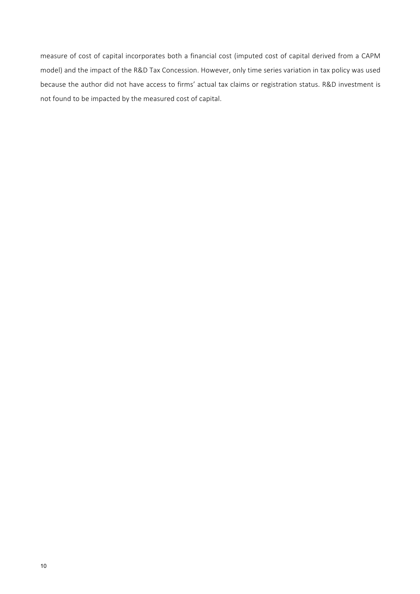measure of cost of capital incorporates both a financial cost (imputed cost of capital derived from a CAPM model) and the impact of the R&D Tax Concession. However, only time series variation in tax policy was used because the author did not have access to firms' actual tax claims or registration status. R&D investment is not found to be impacted by the measured cost of capital.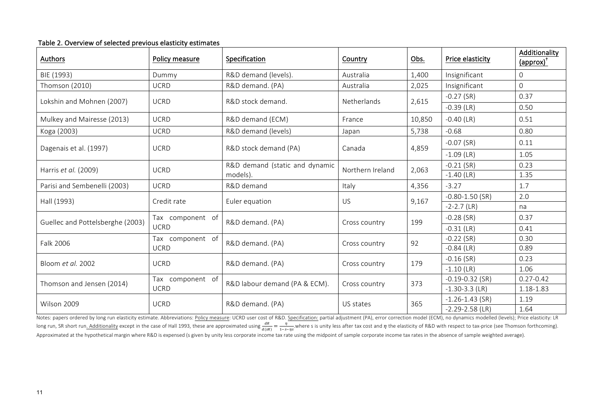| <b>Authors</b>                   | Policy measure   | Specification                  | Country          | Obs.                          | Price elasticity    | Additionality<br>(approx) <sup>T</sup> |
|----------------------------------|------------------|--------------------------------|------------------|-------------------------------|---------------------|----------------------------------------|
| BIE (1993)                       | Dummy            | R&D demand (levels).           | Australia        | 1,400                         | Insignificant       | $\mathbf 0$                            |
| Thomson (2010)                   | <b>UCRD</b>      | R&D demand. (PA)               | Australia        | 2,025                         | Insignificant       | $\mathbf 0$                            |
| Lokshin and Mohnen (2007)        | <b>UCRD</b>      | R&D stock demand.              | Netherlands      | 2,615                         | $-0.27$ (SR)        | 0.37                                   |
|                                  |                  |                                |                  |                               | $-0.39$ (LR)        | 0.50                                   |
| Mulkey and Mairesse (2013)       | <b>UCRD</b>      | R&D demand (ECM)               | France           | 10,850                        | $-0.40$ (LR)        | 0.51                                   |
| Koga (2003)                      | <b>UCRD</b>      | R&D demand (levels)            | Japan            | 5,738                         | $-0.68$             | 0.80                                   |
| Dagenais et al. (1997)           | <b>UCRD</b>      | R&D stock demand (PA)          | Canada           | 4,859                         | $-0.07$ (SR)        | 0.11                                   |
|                                  |                  |                                |                  |                               | $-1.09$ (LR)        | 1.05                                   |
| Harris et al. (2009)             | <b>UCRD</b>      | R&D demand (static and dynamic |                  | 2,063                         | $-0.21$ (SR)        | 0.23                                   |
|                                  |                  | models).                       | Northern Ireland |                               | $-1.40$ (LR)        | 1.35                                   |
| Parisi and Sembenelli (2003)     | <b>UCRD</b>      | R&D demand                     | Italy            | 4,356                         | $-3.27$             | 1.7                                    |
| Hall (1993)                      | Credit rate      | Euler equation                 | US               | 9,167                         | $-0.80 - 1.50$ (SR) | 2.0                                    |
|                                  |                  |                                |                  |                               | $-2-2.7$ (LR)       | na                                     |
| Guellec and Pottelsberghe (2003) | Tax component of | R&D demand. (PA)               | Cross country    | 199                           | $-0.28$ (SR)        | 0.37                                   |
|                                  | <b>UCRD</b>      |                                |                  |                               | $-0.31$ (LR)        | 0.41                                   |
| Falk 2006                        | Tax component of | R&D demand. (PA)               | Cross country    | 92                            | $-0.22$ (SR)        | 0.30                                   |
|                                  | <b>UCRD</b>      |                                |                  |                               | $-0.84$ (LR)        | 0.89                                   |
| Bloom et al. 2002                | <b>UCRD</b>      | R&D demand. (PA)               | Cross country    | 179                           | $-0.16$ (SR)        | 0.23                                   |
|                                  |                  |                                |                  |                               | $-1.10$ (LR)        | 1.06                                   |
| Thomson and Jensen (2014)        | Tax component of | R&D labour demand (PA & ECM).  | Cross country    | 373                           | $-0.19 - 0.32$ (SR) | $0.27 - 0.42$                          |
|                                  | <b>UCRD</b>      |                                |                  | $-1.30-3.3$ (LR)<br>1.18-1.83 |                     |                                        |
| Wilson 2009                      | <b>UCRD</b>      | R&D demand. (PA)               | US states        | 365                           | $-1.26 - 1.43$ (SR) | 1.19                                   |
|                                  |                  |                                |                  |                               | $-2.29 - 2.58$ (LR) | 1.64                                   |

#### Table 2. Overview of selected previous elasticity estimates

Notes: papers ordered by long run elasticity estimate. Abbreviations: Policy measure: UCRD user cost of R&D. Specification: partial adjustment (PA), error correction model (ECM), no dynamics modelled (levels); Price elasti long run, SR short run<u>. Additionality</u> except in the case of Hall 1993, these are approximated using  $\frac{dR}{d(sR)} = \frac{\eta}{1-s-\eta s}$ . where s is unity less after tax cost and  $\eta$  the elasticity of R&D with respect to tax-price Approximated at the hypothetical margin where R&D is expensed (s given by unity less corporate income tax rate using the midpoint of sample corporate income tax rates in the absence of sample weighted average).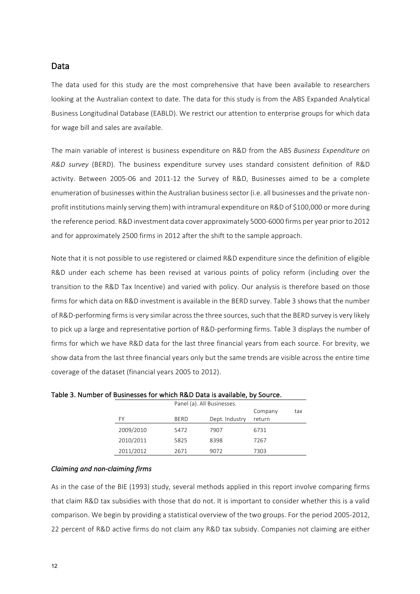#### Data

The data used for this study are the most comprehensive that have been available to researchers looking at the Australian context to date. The data for this study is from the ABS Expanded Analytical Business Longitudinal Database (EABLD). We restrict our attention to enterprise groups for which data for wage bill and sales are available.

The main variable of interest is business expenditure on R&D from the ABS *Business Expenditure on R&D* survey (BERD). The business expenditure survey uses standard consistent definition of R&D activity. Between 2005-06 and 2011-12 the Survey of R&D, Businesses aimed to be a complete enumeration of businesses within the Australian business sector (i.e. all businesses and the private nonprofit institutions mainly serving them) with intramural expenditure on R&D of \$100,000 or more during the reference period. R&D investment data cover approximately 5000-6000 firms per vear prior to 2012 and for approximately 2500 firms in 2012 after the shift to the sample approach.

Note that it is not possible to use registered or claimed R&D expenditure since the definition of eligible R&D under each scheme has been revised at various points of policy reform (including over the transition to the R&D Tax Incentive) and varied with policy. Our analysis is therefore based on those firms for which data on R&D investment is available in the BERD survey. Table 3 shows that the number of R&D-performing firms is very similar across the three sources, such that the BERD survey is very likely to pick up a large and representative portion of R&D-performing firms. Table 3 displays the number of firms for which we have R&D data for the last three financial years from each source. For brevity, we show data from the last three financial years only but the same trends are visible across the entire time coverage of the dataset (financial years 2005 to 2012).

|           |             | Panel (a). All Businesses. |         |     |
|-----------|-------------|----------------------------|---------|-----|
|           |             |                            | Company | tax |
| FY        | <b>BERD</b> | Dept. Industry             | return  |     |
| 2009/2010 | 5472        | 7907                       | 6731    |     |
| 2010/2011 | 5825        | 8398                       | 7267    |     |
| 2011/2012 | 2671        | 9072                       | 7303    |     |

Table 3. Number of Businesses for which R&D Data is available, by Source.

#### *Claiming and non-claiming firms*

As in the case of the BIE (1993) study, several methods applied in this report involve comparing firms that claim R&D tax subsidies with those that do not. It is important to consider whether this is a valid comparison. We begin by providing a statistical overview of the two groups. For the period 2005-2012, 22 percent of R&D active firms do not claim any R&D tax subsidy. Companies not claiming are either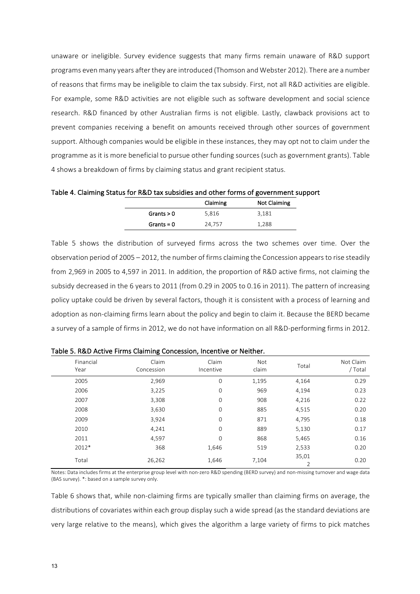unaware or ineligible. Survey evidence suggests that many firms remain unaware of R&D support programs even many years after they are introduced (Thomson and Webster 2012). There are a number of reasons that firms may be ineligible to claim the tax subsidy. First, not all R&D activities are eligible. For example, some R&D activities are not eligible such as software development and social science research. R&D financed by other Australian firms is not eligible. Lastly, clawback provisions act to prevent companies receiving a benefit on amounts received through other sources of government support. Although companies would be eligible in these instances, they may opt not to claim under the programme as it is more beneficial to pursue other funding sources (such as government grants). Table 4 shows a breakdown of firms by claiming status and grant recipient status.

Table 4. Claiming Status for R&D tax subsidies and other forms of government support

|              | Claiming | <b>Not Claiming</b> |  |
|--------------|----------|---------------------|--|
| Grants $> 0$ | 5,816    | 3,181               |  |
| Grants = $0$ | 24,757   | 1,288               |  |

Table 5 shows the distribution of surveyed firms across the two schemes over time. Over the observation period of 2005 – 2012, the number of firms claiming the Concession appears to rise steadily from 2,969 in 2005 to 4,597 in 2011. In addition, the proportion of R&D active firms, not claiming the subsidy decreased in the 6 years to 2011 (from 0.29 in 2005 to 0.16 in 2011). The pattern of increasing policy uptake could be driven by several factors, though it is consistent with a process of learning and adoption as non-claiming firms learn about the policy and begin to claim it. Because the BERD became a survey of a sample of firms in 2012, we do not have information on all R&D-performing firms in 2012.

| Financial<br>Year | Claim<br>Concession | Claim<br>Incentive | Not<br>claim | Total | Not Claim<br>/ Total |
|-------------------|---------------------|--------------------|--------------|-------|----------------------|
| 2005              | 2,969               | 0                  | 1,195        | 4,164 | 0.29                 |
| 2006              | 3,225               | 0                  | 969          | 4,194 | 0.23                 |
| 2007              | 3,308               | 0                  | 908          | 4,216 | 0.22                 |
| 2008              | 3,630               | 0                  | 885          | 4,515 | 0.20                 |
| 2009              | 3,924               | $\mathbf 0$        | 871          | 4,795 | 0.18                 |
| 2010              | 4,241               | $\mathbf 0$        | 889          | 5,130 | 0.17                 |
| 2011              | 4,597               | 0                  | 868          | 5,465 | 0.16                 |
| 2012*             | 368                 | 1,646              | 519          | 2,533 | 0.20                 |
| Total             | 26,262              | 1,646              | 7,104        | 35,01 | 0.20                 |

Table 5. R&D Active Firms Claiming Concession, Incentive or Neither.

Notes: Data includes firms at the enterprise group level with non-zero R&D spending (BERD survey) and non-missing turnover and wage data (BAS survey).  $*$ : based on a sample survey only.

Table 6 shows that, while non-claiming firms are typically smaller than claiming firms on average, the distributions of covariates within each group display such a wide spread (as the standard deviations are very large relative to the means), which gives the algorithm a large variety of firms to pick matches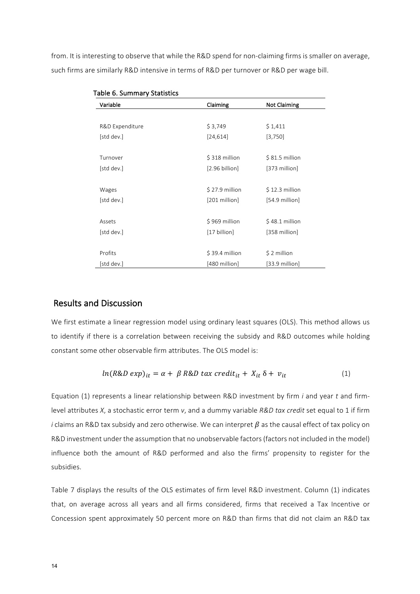from. It is interesting to observe that while the R&D spend for non-claiming firms is smaller on average, such firms are similarly R&D intensive in terms of R&D per turnover or R&D per wage bill.

| Variable        | Claiming        | <b>Not Claiming</b>      |
|-----------------|-----------------|--------------------------|
|                 |                 |                          |
| R&D Expenditure | \$3,749         | \$1,411                  |
| [std dev.]      | [24, 614]       | [3,750]                  |
| Turnover        | \$318 million   | $$81.5$ million          |
| [std dev.]      | [2.96 billion]  | [373 million]            |
| Wages           | $$27.9$ million | $$12.3$ million          |
| [std dev.]      | [201 million]   | $[54.9 \text{ million}]$ |
| Assets          | \$969 million   | $$48.1$ million          |
| [std dev.]      | [17 billion]    | [358 million]            |
| Profits         | \$39.4 million  | \$2 million              |
| [std dev.]      | [480 million]   | $[33.9 \text{ million}]$ |

| Table 6. Summary Statistics |  |
|-----------------------------|--|
|-----------------------------|--|

#### Results and Discussion

We first estimate a linear regression model using ordinary least squares (OLS). This method allows us to identify if there is a correlation between receiving the subsidy and R&D outcomes while holding constant some other observable firm attributes. The OLS model is:

$$
ln(R\&D \exp)_{it} = \alpha + \beta R\&D \text{ tax credit}_{it} + X_{it} \delta + v_{it}
$$
 (1)

Equation (1) represents a linear relationship between R&D investment by firm *i* and year *t* and firmlevel attributes *X*, a stochastic error term *v*, and a dummy variable *R&D tax credit* set equal to 1 if firm *i* claims an R&D tax subsidy and zero otherwise. We can interpret  $\beta$  as the causal effect of tax policy on R&D investment under the assumption that no unobservable factors (factors not included in the model) influence both the amount of R&D performed and also the firms' propensity to register for the subsidies.

Table 7 displays the results of the OLS estimates of firm level R&D investment. Column (1) indicates that, on average across all years and all firms considered, firms that received a Tax Incentive or Concession spent approximately 50 percent more on R&D than firms that did not claim an R&D tax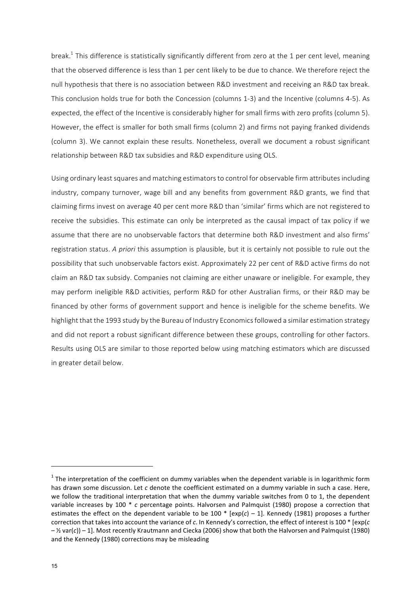break.<sup>1</sup> This difference is statistically significantly different from zero at the 1 per cent level, meaning that the observed difference is less than 1 per cent likely to be due to chance. We therefore reject the null hypothesis that there is no association between R&D investment and receiving an R&D tax break. This conclusion holds true for both the Concession (columns 1-3) and the Incentive (columns 4-5). As expected, the effect of the Incentive is considerably higher for small firms with zero profits (column 5). However, the effect is smaller for both small firms (column 2) and firms not paying franked dividends (column 3). We cannot explain these results. Nonetheless, overall we document a robust significant relationship between R&D tax subsidies and R&D expenditure using OLS.

Using ordinary least squares and matching estimators to control for observable firm attributes including industry, company turnover, wage bill and any benefits from government R&D grants, we find that claiming firms invest on average 40 per cent more R&D than 'similar' firms which are not registered to receive the subsidies. This estimate can only be interpreted as the causal impact of tax policy if we assume that there are no unobservable factors that determine both R&D investment and also firms' registration status. A priori this assumption is plausible, but it is certainly not possible to rule out the possibility that such unobservable factors exist. Approximately 22 per cent of R&D active firms do not claim an R&D tax subsidy. Companies not claiming are either unaware or ineligible. For example, they may perform ineligible R&D activities, perform R&D for other Australian firms, or their R&D may be financed by other forms of government support and hence is ineligible for the scheme benefits. We highlight that the 1993 study by the Bureau of Industry Economics followed a similar estimation strategy and did not report a robust significant difference between these groups, controlling for other factors. Results using OLS are similar to those reported below using matching estimators which are discussed in greater detail below.

<u> 1989 - Johann Barn, mars ann an t-Amhain an t-Amhain an t-Amhain an t-Amhain an t-Amhain an t-Amhain an t-Amh</u>

 $1$  The interpretation of the coefficient on dummy variables when the dependent variable is in logarithmic form has drawn some discussion. Let *c* denote the coefficient estimated on a dummy variable in such a case. Here, we follow the traditional interpretation that when the dummy variable switches from 0 to 1, the dependent variable increases by 100  $*$  c percentage points. Halvorsen and Palmquist (1980) propose a correction that estimates the effect on the dependent variable to be 100  $*$  [exp( $c$ ) – 1]. Kennedy (1981) proposes a further correction that takes into account the variance of c. In Kennedy's correction, the effect of interest is 100 \* [exp(c  $-$  % var(c)) – 1]. Most recently Krautmann and Ciecka (2006) show that both the Halvorsen and Palmquist (1980) and the Kennedy (1980) corrections may be misleading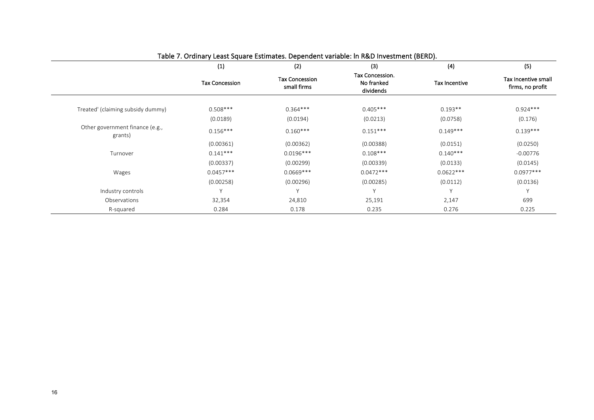|                                            | (1)                   | (2)                                  | (3)                                        | (4)                  | (5)                                     |
|--------------------------------------------|-----------------------|--------------------------------------|--------------------------------------------|----------------------|-----------------------------------------|
|                                            | <b>Tax Concession</b> | <b>Tax Concession</b><br>small firms | Tax Concession.<br>No franked<br>dividends | <b>Tax Incentive</b> | Tax Incentive small<br>firms, no profit |
| Treated' (claiming subsidy dummy)          | $0.508***$            | $0.364***$                           | $0.405***$                                 | $0.193**$            | $0.924***$                              |
|                                            | (0.0189)              | (0.0194)                             | (0.0213)                                   | (0.0758)             | (0.176)                                 |
| Other government finance (e.g.,<br>grants) | $0.156***$            | $0.160***$                           | $0.151***$                                 | $0.149***$           | $0.139***$                              |
|                                            | (0.00361)             | (0.00362)                            | (0.00388)                                  | (0.0151)             | (0.0250)                                |
| Turnover                                   | $0.141***$            | $0.0196***$                          | $0.108***$                                 | $0.140***$           | $-0.00776$                              |
|                                            | (0.00337)             | (0.00299)                            | (0.00339)                                  | (0.0133)             | (0.0145)                                |
| Wages                                      | $0.0457***$           | $0.0669***$                          | $0.0472***$                                | $0.0622***$          | $0.0977***$                             |
|                                            | (0.00258)             | (0.00296)                            | (0.00285)                                  | (0.0112)             | (0.0136)                                |
| Industry controls                          |                       | Y                                    | V                                          |                      | Y                                       |
| Observations                               | 32,354                | 24,810                               | 25,191                                     | 2,147                | 699                                     |
| R-squared                                  | 0.284                 | 0.178                                | 0.235                                      | 0.276                | 0.225                                   |

#### Table 7. Ordinary Least Square Estimates. Dependent variable: In R&D Investment (BERD).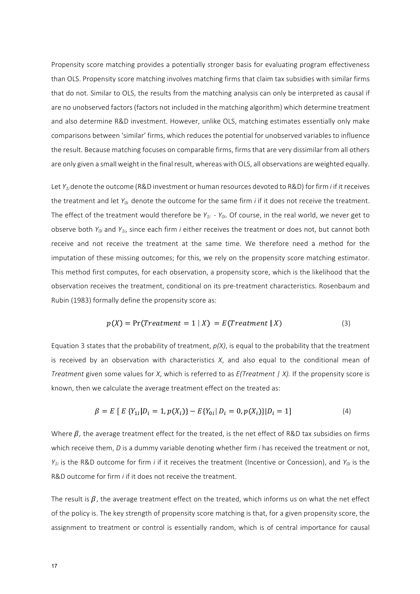Propensity score matching provides a potentially stronger basis for evaluating program effectiveness than OLS. Propensity score matching involves matching firms that claim tax subsidies with similar firms that do not. Similar to OLS, the results from the matching analysis can only be interpreted as causal if are no unobserved factors (factors not included in the matching algorithm) which determine treatment and also determine R&D investment. However, unlike OLS, matching estimates essentially only make comparisons between 'similar' firms, which reduces the potential for unobserved variables to influence the result. Because matching focuses on comparable firms, firms that are very dissimilar from all others are only given a small weight in the final result, whereas with OLS, all observations are weighted equally.

Let *Y<sub>1i</sub>* denote the outcome (R&D investment or human resources devoted to R&D) for firm *i* if it receives the treatment and let  $Y_{0i}$  denote the outcome for the same firm *i* if it does not receive the treatment. The effect of the treatment would therefore be  $Y_{1i}$  -  $Y_{0i}$ . Of course, in the real world, we never get to observe both  $Y_{0i}$  and  $Y_{1i}$ , since each firm *i* either receives the treatment or does not, but cannot both receive and not receive the treatment at the same time. We therefore need a method for the imputation of these missing outcomes; for this, we rely on the propensity score matching estimator. This method first computes, for each observation, a propensity score, which is the likelihood that the observation receives the treatment, conditional on its pre-treatment characteristics. Rosenbaum and Rubin (1983) formally define the propensity score as:

$$
p(X) = Pr(Treatment = 1 | X) = E(Treatment | X)
$$
\n(3)

Equation 3 states that the probability of treatment,  $p(X)$ , is equal to the probability that the treatment is received by an observation with characteristics  $X$ , and also equal to the conditional mean of *Treatment* given some values for *X*, which is referred to as  $E(Treatment / X)$ . If the propensity score is known, then we calculate the average treatment effect on the treated as:

$$
\beta = E \left[ E \left\{ Y_{1i} | D_i = 1, p(X_i) \right\} - E \{ Y_{0i} | D_i = 0, p(X_i) \} | D_i = 1 \right]
$$
\n<sup>(4)</sup>

Where  $\beta$ , the average treatment effect for the treated, is the net effect of R&D tax subsidies on firms which receive them, *D* is a dummy variable denoting whether firm *i* has received the treatment or not,  $Y_{1i}$  is the R&D outcome for firm *i* if it receives the treatment (Incentive or Concession), and  $Y_{0i}$  is the R&D outcome for firm *i* if it does not receive the treatment.

The result is  $\beta$ , the average treatment effect on the treated, which informs us on what the net effect of the policy is. The key strength of propensity score matching is that, for a given propensity score, the assignment to treatment or control is essentially random, which is of central importance for causal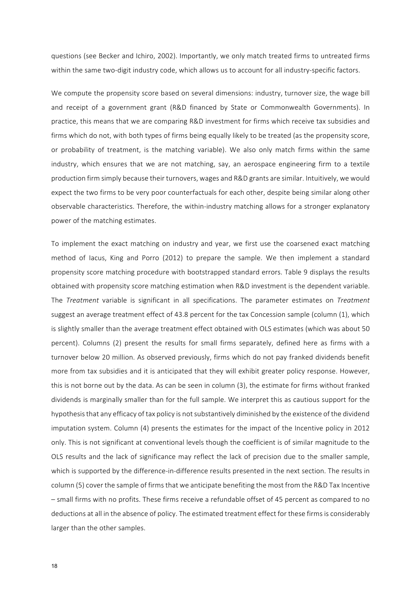questions (see Becker and Ichiro, 2002). Importantly, we only match treated firms to untreated firms within the same two-digit industry code, which allows us to account for all industry-specific factors.

We compute the propensity score based on several dimensions: industry, turnover size, the wage bill and receipt of a government grant (R&D financed by State or Commonwealth Governments). In practice, this means that we are comparing R&D investment for firms which receive tax subsidies and firms which do not, with both types of firms being equally likely to be treated (as the propensity score, or probability of treatment, is the matching variable). We also only match firms within the same industry, which ensures that we are not matching, say, an aerospace engineering firm to a textile production firm simply because their turnovers, wages and R&D grants are similar. Intuitively, we would expect the two firms to be very poor counterfactuals for each other, despite being similar along other observable characteristics. Therefore, the within-industry matching allows for a stronger explanatory power of the matching estimates.

To implement the exact matching on industry and year, we first use the coarsened exact matching method of lacus, King and Porro (2012) to prepare the sample. We then implement a standard propensity score matching procedure with bootstrapped standard errors. Table 9 displays the results obtained with propensity score matching estimation when R&D investment is the dependent variable. The *Treatment* variable is significant in all specifications. The parameter estimates on *Treatment* suggest an average treatment effect of 43.8 percent for the tax Concession sample (column (1), which is slightly smaller than the average treatment effect obtained with OLS estimates (which was about 50 percent). Columns (2) present the results for small firms separately, defined here as firms with a turnover below 20 million. As observed previously, firms which do not pay franked dividends benefit more from tax subsidies and it is anticipated that they will exhibit greater policy response. However, this is not borne out by the data. As can be seen in column (3), the estimate for firms without franked dividends is marginally smaller than for the full sample. We interpret this as cautious support for the hypothesis that any efficacy of tax policy is not substantively diminished by the existence of the dividend imputation system. Column (4) presents the estimates for the impact of the Incentive policy in 2012 only. This is not significant at conventional levels though the coefficient is of similar magnitude to the OLS results and the lack of significance may reflect the lack of precision due to the smaller sample, which is supported by the difference-in-difference results presented in the next section. The results in column (5) cover the sample of firms that we anticipate benefiting the most from the R&D Tax Incentive – small firms with no profits. These firms receive a refundable offset of 45 percent as compared to no deductions at all in the absence of policy. The estimated treatment effect for these firms is considerably larger than the other samples.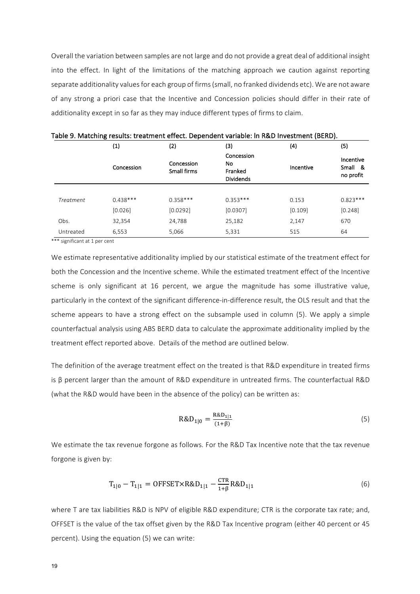Overall the variation between samples are not large and do not provide a great deal of additional insight into the effect. In light of the limitations of the matching approach we caution against reporting separate additionality values for each group of firms (small, no franked dividends etc). We are not aware of any strong a priori case that the Incentive and Concession policies should differ in their rate of additionality except in so far as they may induce different types of firms to claim.

|                  | (1)        | (2)                       | (3)                                             | (4)       | (5)                               |
|------------------|------------|---------------------------|-------------------------------------------------|-----------|-----------------------------------|
|                  | Concession | Concession<br>Small firms | Concession<br>No<br>Franked<br><b>Dividends</b> | Incentive | Incentive<br>Small &<br>no profit |
|                  |            |                           |                                                 |           |                                   |
| <b>Treatment</b> | $0.438***$ | $0.358***$                | $0.353***$                                      | 0.153     | $0.823***$                        |
|                  | [0.026]    | [0.0292]                  | [0.0307]                                        | [0.109]   | [0.248]                           |
| Obs.             | 32,354     | 24,788                    | 25,182                                          | 2,147     | 670                               |
| Untreated        | 6,553      | 5,066                     | 5,331                                           | 515       | 64                                |

Table 9. Matching results: treatment effect. Dependent variable: In R&D Investment (BERD).

\*\*\* significant at 1 per cent

We estimate representative additionality implied by our statistical estimate of the treatment effect for both the Concession and the Incentive scheme. While the estimated treatment effect of the Incentive scheme is only significant at 16 percent, we argue the magnitude has some illustrative value, particularly in the context of the significant difference-in-difference result, the OLS result and that the scheme appears to have a strong effect on the subsample used in column (5). We apply a simple counterfactual analysis using ABS BERD data to calculate the approximate additionality implied by the treatment effect reported above. Details of the method are outlined below.

The definition of the average treatment effect on the treated is that R&D expenditure in treated firms is  $β$  percent larger than the amount of R&D expenditure in untreated firms. The counterfactual R&D (what the R&D would have been in the absence of the policy) can be written as:

$$
R\&D_{1|0} = \frac{R\&D_{1|1}}{(1+\beta)}
$$
 (5)

We estimate the tax revenue forgone as follows. For the R&D Tax Incentive note that the tax revenue forgone is given by:

$$
T_{1|0} - T_{1|1} = \text{OFFSET} \times \text{R&D}_{1|1} - \frac{\text{CTR}}{1 + \beta} \text{R&D}_{1|1} \tag{6}
$$

where T are tax liabilities R&D is NPV of eligible R&D expenditure; CTR is the corporate tax rate; and, OFFSET is the value of the tax offset given by the R&D Tax Incentive program (either 40 percent or 45 percent). Using the equation (5) we can write: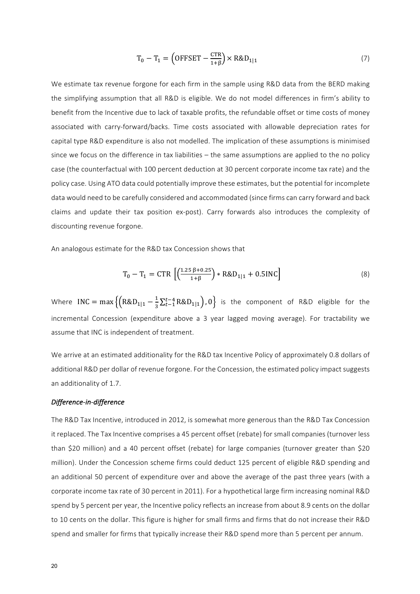$$
T_0 - T_1 = \left(\text{OFFSET} - \frac{\text{CTR}}{1+\beta}\right) \times \text{R&D}_{1|1} \tag{7}
$$

We estimate tax revenue forgone for each firm in the sample using R&D data from the BERD making the simplifying assumption that all R&D is eligible. We do not model differences in firm's ability to benefit from the Incentive due to lack of taxable profits, the refundable offset or time costs of money associated with carry-forward/backs. Time costs associated with allowable depreciation rates for capital type R&D expenditure is also not modelled. The implication of these assumptions is minimised since we focus on the difference in tax liabilities  $-$  the same assumptions are applied to the no policy case (the counterfactual with 100 percent deduction at 30 percent corporate income tax rate) and the policy case. Using ATO data could potentially improve these estimates, but the potential for incomplete data would need to be carefully considered and accommodated (since firms can carry forward and back claims and update their tax position ex-post). Carry forwards also introduces the complexity of discounting revenue forgone.

An analogous estimate for the R&D tax Concession shows that

$$
T_0 - T_1 = CTR \left[ \left( \frac{1.25 \beta + 0.25}{1 + \beta} \right) * R&D_{1|1} + 0.5INC \right]
$$
 (8)

Where INC =  $\max\left\{\left(R\&D_{1|1}-\frac{1}{3}\sum_{t=1}^{t-4}R\&D_{1|1}\right),0\right\}$  is the component of R&D eligible for the incremental Concession (expenditure above a 3 year lagged moving average). For tractability we assume that INC is independent of treatment.

We arrive at an estimated additionality for the R&D tax Incentive Policy of approximately 0.8 dollars of additional R&D per dollar of revenue forgone. For the Concession, the estimated policy impact suggests an additionality of 1.7.

#### *Difference-in-difference*

The R&D Tax Incentive, introduced in 2012, is somewhat more generous than the R&D Tax Concession it replaced. The Tax Incentive comprises a 45 percent offset (rebate) for small companies (turnover less than \$20 million) and a 40 percent offset (rebate) for large companies (turnover greater than \$20 million). Under the Concession scheme firms could deduct 125 percent of eligible R&D spending and an additional 50 percent of expenditure over and above the average of the past three years (with a corporate income tax rate of 30 percent in 2011). For a hypothetical large firm increasing nominal R&D spend by 5 percent per year, the Incentive policy reflects an increase from about 8.9 cents on the dollar to 10 cents on the dollar. This figure is higher for small firms and firms that do not increase their R&D spend and smaller for firms that typically increase their R&D spend more than 5 percent per annum.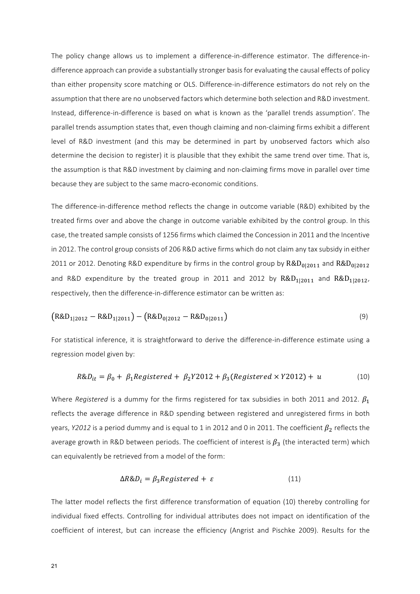The policy change allows us to implement a difference-in-difference estimator. The difference-indifference approach can provide a substantially stronger basis for evaluating the causal effects of policy than either propensity score matching or OLS. Difference-in-difference estimators do not rely on the assumption that there are no unobserved factors which determine both selection and R&D investment. Instead, difference-in-difference is based on what is known as the 'parallel trends assumption'. The parallel trends assumption states that, even though claiming and non-claiming firms exhibit a different level of R&D investment (and this may be determined in part by unobserved factors which also determine the decision to register) it is plausible that they exhibit the same trend over time. That is, the assumption is that R&D investment by claiming and non-claiming firms move in parallel over time because they are subject to the same macro-economic conditions.

The difference-in-difference method reflects the change in outcome variable (R&D) exhibited by the treated firms over and above the change in outcome variable exhibited by the control group. In this case, the treated sample consists of 1256 firms which claimed the Concession in 2011 and the Incentive in 2012. The control group consists of 206 R&D active firms which do not claim any tax subsidy in either 2011 or 2012. Denoting R&D expenditure by firms in the control group by  $R&D_{0|2011}$  and  $R&D_{0|2012}$ and R&D expenditure by the treated group in 2011 and 2012 by  $R&D_{1|2011}$  and  $R&D_{1|2012}$ , respectively, then the difference-in-difference estimator can be written as:

$$
(R&D_{1|2012} - R&D_{1|2011}) - (R&D_{0|2012} - R&D_{0|2011}) \tag{9}
$$

For statistical inference, it is straightforward to derive the difference-in-difference estimate using a regression model given by:

$$
R\&D_{it} = \beta_0 + \beta_1 \text{Registered} + \beta_2 Y2012 + \beta_3 (\text{Registered} \times Y2012) + u \tag{10}
$$

Where *Registered* is a dummy for the firms registered for tax subsidies in both 2011 and 2012.  $\beta_1$ reflects the average difference in R&D spending between registered and unregistered firms in both years, *Y2012* is a period dummy and is equal to 1 in 2012 and 0 in 2011. The coefficient  $\beta_2$  reflects the average growth in R&D between periods. The coefficient of interest is  $\beta_3$  (the interacted term) which can equivalently be retrieved from a model of the form:

$$
\Delta R \& D_i = \beta_3 Registered + \varepsilon \tag{11}
$$

The latter model reflects the first difference transformation of equation (10) thereby controlling for individual fixed effects. Controlling for individual attributes does not impact on identification of the coefficient of interest, but can increase the efficiency (Angrist and Pischke 2009). Results for the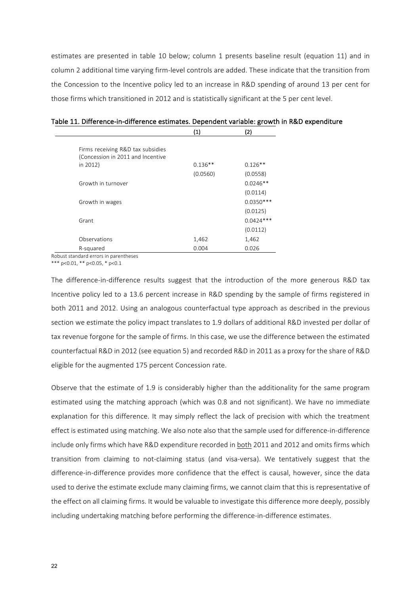estimates are presented in table 10 below; column 1 presents baseline result (equation 11) and in column 2 additional time varying firm-level controls are added. These indicate that the transition from the Concession to the Incentive policy led to an increase in R&D spending of around 13 per cent for those firms which transitioned in 2012 and is statistically significant at the 5 per cent level.

|                                   | (1)       | (2)         |
|-----------------------------------|-----------|-------------|
|                                   |           |             |
| Firms receiving R&D tax subsidies |           |             |
| (Concession in 2011 and Incentive |           |             |
| in 2012)                          | $0.136**$ | $0.126**$   |
|                                   | (0.0560)  | (0.0558)    |
| Growth in turnover                |           | $0.0246**$  |
|                                   |           | (0.0114)    |
| Growth in wages                   |           | $0.0350***$ |
|                                   |           | (0.0125)    |
| Grant                             |           | $0.0424***$ |
|                                   |           | (0.0112)    |
| Observations                      | 1,462     | 1,462       |
| R-squared                         | 0.004     | 0.026       |

# Table 11. Difference-in-difference estimates. Dependent variable: growth in R&D expenditure

Robust standard errors in parentheses

\*\*\*  $p < 0.01$ , \*\*  $p < 0.05$ , \*  $p < 0.1$ 

The difference-in-difference results suggest that the introduction of the more generous R&D tax Incentive policy led to a 13.6 percent increase in R&D spending by the sample of firms registered in both 2011 and 2012. Using an analogous counterfactual type approach as described in the previous section we estimate the policy impact translates to 1.9 dollars of additional R&D invested per dollar of tax revenue forgone for the sample of firms. In this case, we use the difference between the estimated counterfactual R&D in 2012 (see equation 5) and recorded R&D in 2011 as a proxy for the share of R&D eligible for the augmented 175 percent Concession rate.

Observe that the estimate of 1.9 is considerably higher than the additionality for the same program estimated using the matching approach (which was 0.8 and not significant). We have no immediate explanation for this difference. It may simply reflect the lack of precision with which the treatment effect is estimated using matching. We also note also that the sample used for difference-in-difference include only firms which have R&D expenditure recorded in both 2011 and 2012 and omits firms which transition from claiming to not-claiming status (and visa-versa). We tentatively suggest that the difference-in-difference provides more confidence that the effect is causal, however, since the data used to derive the estimate exclude many claiming firms, we cannot claim that this is representative of the effect on all claiming firms. It would be valuable to investigate this difference more deeply, possibly including undertaking matching before performing the difference-in-difference estimates.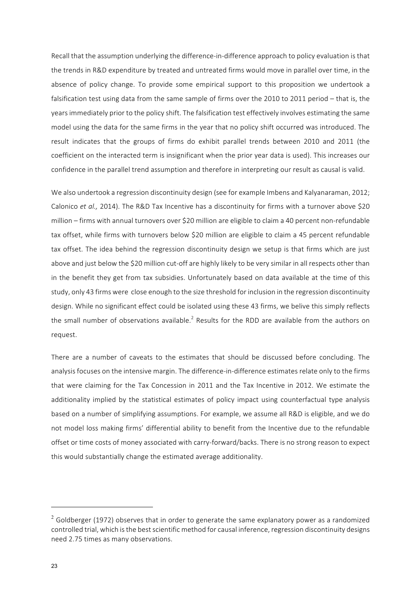Recall that the assumption underlying the difference-in-difference approach to policy evaluation is that the trends in R&D expenditure by treated and untreated firms would move in parallel over time, in the absence of policy change. To provide some empirical support to this proposition we undertook a falsification test using data from the same sample of firms over the  $2010$  to  $2011$  period – that is, the years immediately prior to the policy shift. The falsification test effectively involves estimating the same model using the data for the same firms in the year that no policy shift occurred was introduced. The result indicates that the groups of firms do exhibit parallel trends between 2010 and 2011 (the coefficient on the interacted term is insignificant when the prior year data is used). This increases our confidence in the parallel trend assumption and therefore in interpreting our result as causal is valid.

We also undertook a regression discontinuity design (see for example Imbens and Kalyanaraman, 2012; Calonico *et al.,* 2014). The R&D Tax Incentive has a discontinuity for firms with a turnover above \$20 million – firms with annual turnovers over \$20 million are eligible to claim a 40 percent non-refundable tax offset, while firms with turnovers below \$20 million are eligible to claim a 45 percent refundable tax offset. The idea behind the regression discontinuity design we setup is that firms which are just above and just below the \$20 million cut-off are highly likely to be very similar in all respects other than in the benefit they get from tax subsidies. Unfortunately based on data available at the time of this study, only 43 firms were close enough to the size threshold for inclusion in the regression discontinuity design. While no significant effect could be isolated using these 43 firms, we belive this simply reflects the small number of observations available.<sup>2</sup> Results for the RDD are available from the authors on request.

There are a number of caveats to the estimates that should be discussed before concluding. The analysis focuses on the intensive margin. The difference-in-difference estimates relate only to the firms that were claiming for the Tax Concession in 2011 and the Tax Incentive in 2012. We estimate the additionality implied by the statistical estimates of policy impact using counterfactual type analysis based on a number of simplifying assumptions. For example, we assume all R&D is eligible, and we do not model loss making firms' differential ability to benefit from the Incentive due to the refundable offset or time costs of money associated with carry-forward/backs. There is no strong reason to expect this would substantially change the estimated average additionality.

<u> 1989 - Johann Barn, mars ann an t-Amhain an t-Amhain an t-Amhain an t-Amhain an t-Amhain an t-Amhain an t-Amh</u>

 $<sup>2</sup>$  Goldberger (1972) observes that in order to generate the same explanatory power as a randomized</sup> controlled trial, which is the best scientific method for causal inference, regression discontinuity designs need 2.75 times as many observations.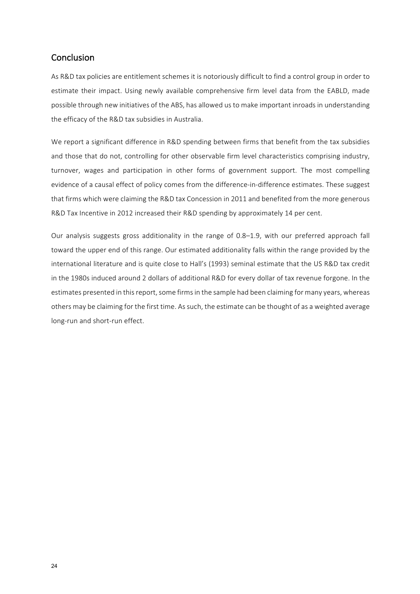## Conclusion

As R&D tax policies are entitlement schemes it is notoriously difficult to find a control group in order to estimate their impact. Using newly available comprehensive firm level data from the EABLD, made possible through new initiatives of the ABS, has allowed us to make important inroads in understanding the efficacy of the R&D tax subsidies in Australia.

We report a significant difference in R&D spending between firms that benefit from the tax subsidies and those that do not, controlling for other observable firm level characteristics comprising industry, turnover, wages and participation in other forms of government support. The most compelling evidence of a causal effect of policy comes from the difference-in-difference estimates. These suggest that firms which were claiming the R&D tax Concession in 2011 and benefited from the more generous R&D Tax Incentive in 2012 increased their R&D spending by approximately 14 per cent.

Our analysis suggests gross additionality in the range of  $0.8-1.9$ , with our preferred approach fall toward the upper end of this range. Our estimated additionality falls within the range provided by the international literature and is quite close to Hall's (1993) seminal estimate that the US R&D tax credit in the 1980s induced around 2 dollars of additional R&D for every dollar of tax revenue forgone. In the estimates presented in this report, some firms in the sample had been claiming for many years, whereas others may be claiming for the first time. As such, the estimate can be thought of as a weighted average long-run and short-run effect.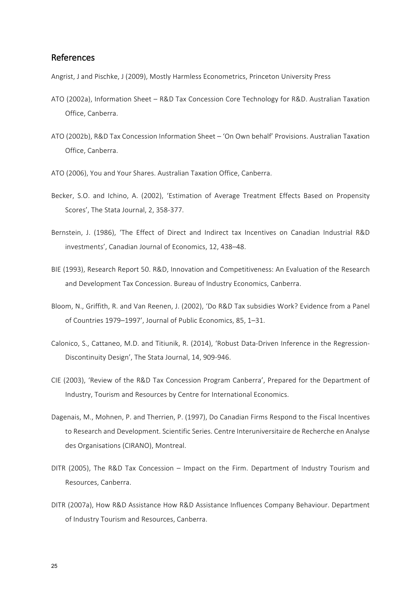#### References

Angrist, J and Pischke, J (2009), Mostly Harmless Econometrics, Princeton University Press

- ATO (2002a), Information Sheet R&D Tax Concession Core Technology for R&D. Australian Taxation Office, Canberra.
- ATO (2002b), R&D Tax Concession Information Sheet 'On Own behalf' Provisions. Australian Taxation Office, Canberra.
- ATO (2006), You and Your Shares. Australian Taxation Office, Canberra.
- Becker, S.O. and Ichino, A. (2002), 'Estimation of Average Treatment Effects Based on Propensity Scores', The Stata Journal, 2, 358-377.
- Bernstein, J. (1986), 'The Effect of Direct and Indirect tax Incentives on Canadian Industrial R&D investments', Canadian Journal of Economics, 12, 438-48.
- BIE (1993), Research Report 50. R&D, Innovation and Competitiveness: An Evaluation of the Research and Development Tax Concession. Bureau of Industry Economics, Canberra.
- Bloom, N., Griffith, R. and Van Reenen, J. (2002), 'Do R&D Tax subsidies Work? Evidence from a Panel of Countries 1979–1997', Journal of Public Economics, 85, 1–31.
- Calonico, S., Cattaneo, M.D. and Titiunik, R. (2014), 'Robust Data-Driven Inference in the Regression-Discontinuity Design', The Stata Journal, 14, 909-946.
- CIE (2003), 'Review of the R&D Tax Concession Program Canberra', Prepared for the Department of Industry, Tourism and Resources by Centre for International Economics.
- Dagenais, M., Mohnen, P. and Therrien, P. (1997), Do Canadian Firms Respond to the Fiscal Incentives to Research and Development. Scientific Series. Centre Interuniversitaire de Recherche en Analyse des Organisations (CIRANO), Montreal.
- DITR (2005), The R&D Tax Concession Impact on the Firm. Department of Industry Tourism and Resources, Canberra.
- DITR (2007a), How R&D Assistance How R&D Assistance Influences Company Behaviour. Department of Industry Tourism and Resources, Canberra.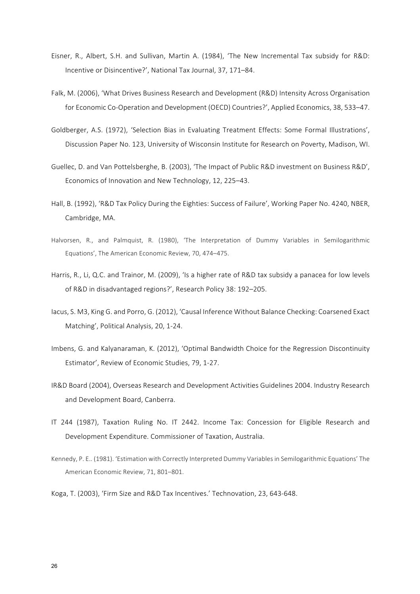- Eisner, R., Albert, S.H. and Sullivan, Martin A. (1984), 'The New Incremental Tax subsidy for R&D: Incentive or Disincentive?', National Tax Journal, 37, 171-84.
- Falk, M. (2006), 'What Drives Business Research and Development (R&D) Intensity Across Organisation for Economic Co-Operation and Development (OECD) Countries?', Applied Economics, 38, 533–47.
- Goldberger, A.S. (1972), 'Selection Bias in Evaluating Treatment Effects: Some Formal Illustrations', Discussion Paper No. 123, University of Wisconsin Institute for Research on Poverty, Madison, WI.
- Guellec, D. and Van Pottelsberghe, B. (2003), 'The Impact of Public R&D investment on Business R&D', Economics of Innovation and New Technology, 12, 225-43.
- Hall, B. (1992), 'R&D Tax Policy During the Eighties: Success of Failure', Working Paper No. 4240, NBER, Cambridge, MA.
- Halvorsen, R., and Palmquist, R. (1980), 'The Interpretation of Dummy Variables in Semilogarithmic Equations', The American Economic Review, 70, 474–475.
- Harris, R., Li, Q.C. and Trainor, M. (2009), 'Is a higher rate of R&D tax subsidy a panacea for low levels of R&D in disadvantaged regions?', Research Policy 38: 192-205.
- Iacus, S. M3, King G. and Porro, G. (2012), 'Causal Inference Without Balance Checking: Coarsened Exact Matching', Political Analysis, 20, 1-24.
- Imbens, G. and Kalyanaraman, K. (2012), 'Optimal Bandwidth Choice for the Regression Discontinuity Estimator', Review of Economic Studies, 79, 1-27.
- IR&D Board (2004), Overseas Research and Development Activities Guidelines 2004. Industry Research and Development Board, Canberra.
- IT 244 (1987), Taxation Ruling No. IT 2442. Income Tax: Concession for Eligible Research and Development Expenditure. Commissioner of Taxation, Australia.
- Kennedy, P. E.. (1981). 'Estimation with Correctly Interpreted Dummy Variables in Semilogarithmic Equations' The American Economic Review, 71, 801-801.
- Koga, T. (2003), 'Firm Size and R&D Tax Incentives.' Technovation, 23, 643-648.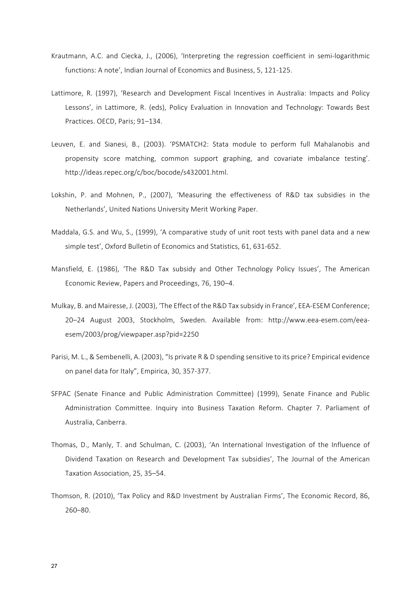- Krautmann, A.C. and Ciecka, J., (2006), 'Interpreting the regression coefficient in semi-logarithmic functions: A note', Indian Journal of Economics and Business, 5, 121-125.
- Lattimore, R. (1997), 'Research and Development Fiscal Incentives in Australia: Impacts and Policy Lessons', in Lattimore, R. (eds), Policy Evaluation in Innovation and Technology: Towards Best Practices. OECD. Paris: 91-134.
- Leuven, E. and Sianesi, B., (2003). 'PSMATCH2: Stata module to perform full Mahalanobis and propensity score matching, common support graphing, and covariate imbalance testing'. http://ideas.repec.org/c/boc/bocode/s432001.html.
- Lokshin, P. and Mohnen, P., (2007), 'Measuring the effectiveness of R&D tax subsidies in the Netherlands', United Nations University Merit Working Paper.
- Maddala, G.S. and Wu, S., (1999), 'A comparative study of unit root tests with panel data and a new simple test', Oxford Bulletin of Economics and Statistics, 61, 631-652.
- Mansfield, E. (1986), 'The R&D Tax subsidy and Other Technology Policy Issues', The American Economic Review, Papers and Proceedings, 76, 190-4.
- Mulkay, B. and Mairesse, J. (2003), 'The Effect of the R&D Tax subsidy in France', EEA-ESEM Conference; 20-24 August 2003, Stockholm, Sweden. Available from: http://www.eea-esem.com/eeaesem/2003/prog/viewpaper.asp?pid=2250
- Parisi, M. L., & Sembenelli, A. (2003), "Is private R & D spending sensitive to its price? Empirical evidence on panel data for Italy", Empirica, 30, 357-377.
- SFPAC (Senate Finance and Public Administration Committee) (1999), Senate Finance and Public Administration Committee. Inquiry into Business Taxation Reform. Chapter 7. Parliament of Australia, Canberra.
- Thomas, D., Manly, T. and Schulman, C. (2003), 'An International Investigation of the Influence of Dividend Taxation on Research and Development Tax subsidies', The Journal of the American Taxation Association, 25, 35-54.
- Thomson, R. (2010), 'Tax Policy and R&D Investment by Australian Firms', The Economic Record, 86, 260–80.